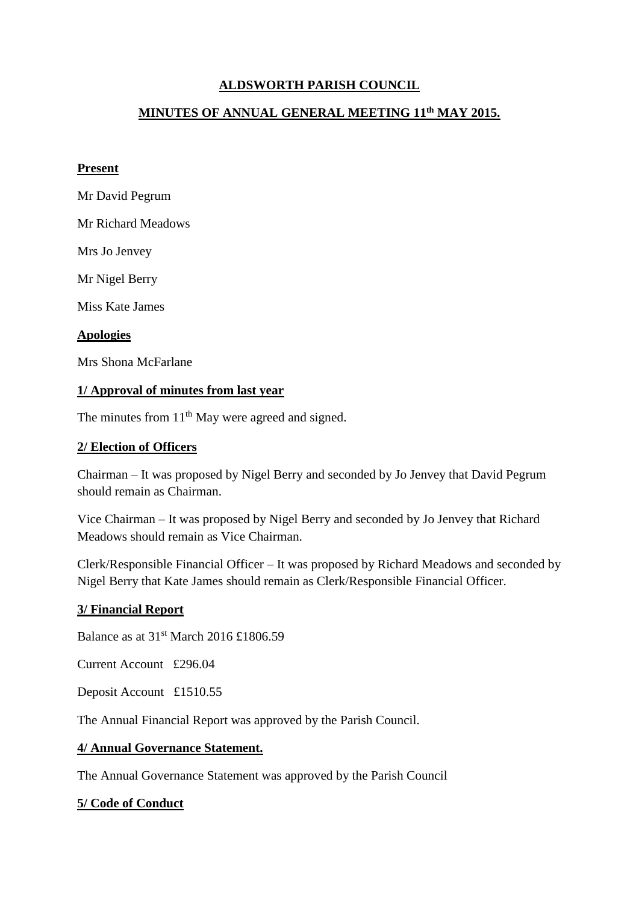# **ALDSWORTH PARISH COUNCIL**

## **MINUTES OF ANNUAL GENERAL MEETING 11th MAY 2015.**

#### **Present**

- Mr David Pegrum
- Mr Richard Meadows

Mrs Jo Jenvey

Mr Nigel Berry

Miss Kate James

## **Apologies**

Mrs Shona McFarlane

## **1/ Approval of minutes from last year**

The minutes from 11<sup>th</sup> May were agreed and signed.

## **2/ Election of Officers**

Chairman – It was proposed by Nigel Berry and seconded by Jo Jenvey that David Pegrum should remain as Chairman.

Vice Chairman – It was proposed by Nigel Berry and seconded by Jo Jenvey that Richard Meadows should remain as Vice Chairman.

Clerk/Responsible Financial Officer – It was proposed by Richard Meadows and seconded by Nigel Berry that Kate James should remain as Clerk/Responsible Financial Officer.

#### **3/ Financial Report**

Balance as at 31st March 2016 £1806.59

Current Account £296.04

Deposit Account £1510.55

The Annual Financial Report was approved by the Parish Council.

#### **4/ Annual Governance Statement.**

The Annual Governance Statement was approved by the Parish Council

#### **5/ Code of Conduct**